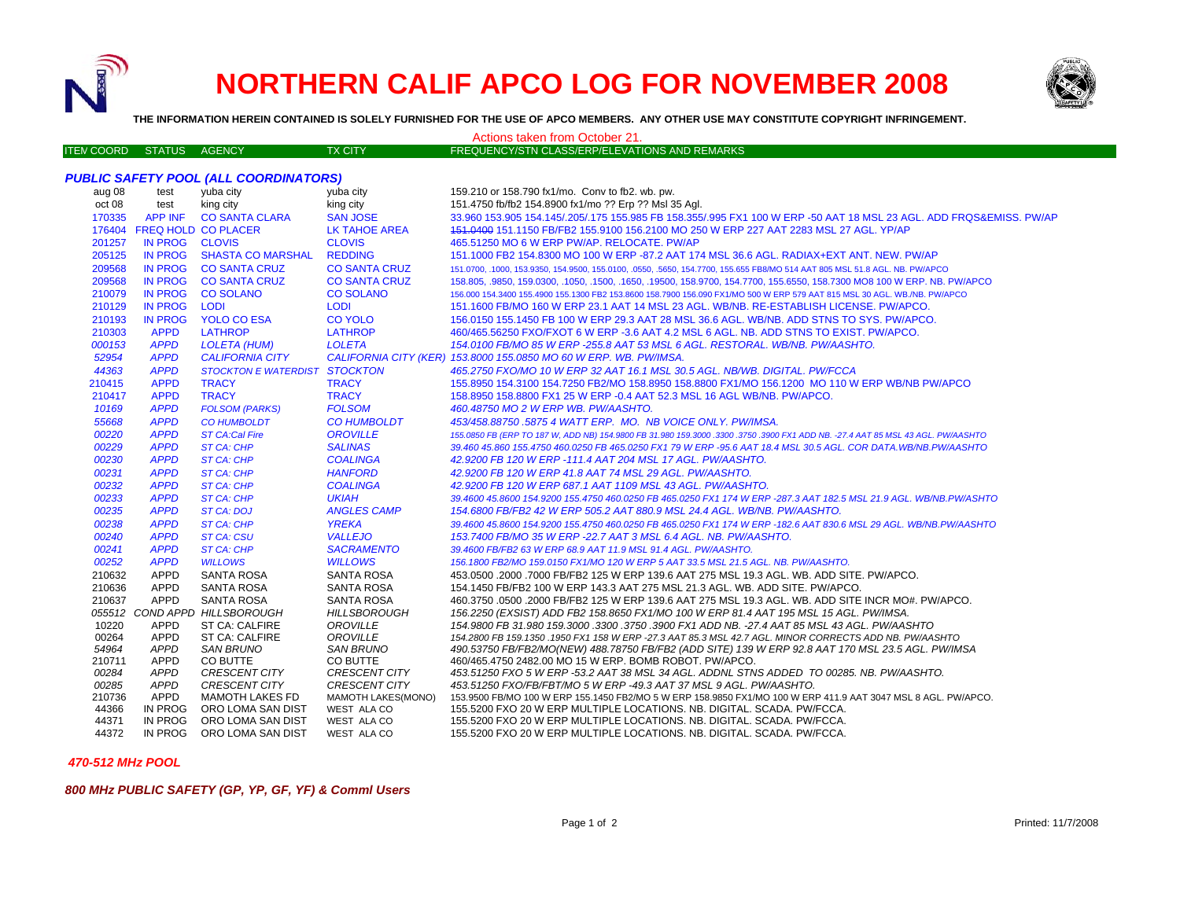

## **NORTHERN CALIF APCO LOG FOR NOVEMBER 2008**



**THE INFORMATION HEREIN CONTAINED IS SOLELY FURNISHED FOR THE USE OF APCO MEMBERS. ANY OTHER USE MAY CONSTITUTE COPYRIGHT INFRINGEMENT.**

| Actions taken from October 21.               |                     |                                              |                                              |                                                                                                                                                                                     |  |  |  |  |
|----------------------------------------------|---------------------|----------------------------------------------|----------------------------------------------|-------------------------------------------------------------------------------------------------------------------------------------------------------------------------------------|--|--|--|--|
| <b>ITEN COORD</b>                            | STATUS AGENCY       |                                              | <b>TX CITY</b>                               | FREQUENCY/STN CLASS/ERP/ELEVATIONS AND REMARKS                                                                                                                                      |  |  |  |  |
|                                              |                     |                                              |                                              |                                                                                                                                                                                     |  |  |  |  |
| <b>PUBLIC SAFETY POOL (ALL COORDINATORS)</b> |                     |                                              |                                              |                                                                                                                                                                                     |  |  |  |  |
| aug 08                                       | test                | yuba city                                    | yuba city                                    | 159.210 or 158.790 fx1/mo. Conv to fb2, wb. pw.                                                                                                                                     |  |  |  |  |
| oct 08                                       | test                | king city                                    | king city                                    | 151.4750 fb/fb2 154.8900 fx1/mo ?? Erp ?? Msl 35 Agl.                                                                                                                               |  |  |  |  |
| 170335                                       | <b>APP INF</b>      | <b>CO SANTA CLARA</b>                        | <b>SAN JOSE</b>                              | 33.960 153.905 154.145/.205/.175 155.985 FB 158.355/.995 FX1 100 W ERP -50 AAT 18 MSL 23 AGL. ADD FRQS&EMISS. PW/AP                                                                 |  |  |  |  |
|                                              |                     | 176404 FREQ HOLD CO PLACER                   | LK TAHOE AREA                                | 151,0400 151,1150 FB/FB2 155,9100 156,2100 MO 250 W ERP 227 AAT 2283 MSL 27 AGL. YP/AP                                                                                              |  |  |  |  |
| 201257                                       | IN PROG CLOVIS      |                                              | <b>CLOVIS</b>                                | 465.51250 MO 6 W ERP PW/AP. RELOCATE. PW/AP                                                                                                                                         |  |  |  |  |
| 205125                                       |                     | IN PROG SHASTA CO MARSHAL                    | <b>REDDING</b>                               | 151.1000 FB2 154.8300 MO 100 W ERP -87.2 AAT 174 MSL 36.6 AGL. RADIAX+EXT ANT. NEW. PW/AP                                                                                           |  |  |  |  |
| 209568                                       |                     | IN PROG CO SANTA CRUZ                        | <b>CO SANTA CRUZ</b>                         | 151.0700, .1000, 153.9350, 154.9500, 155.0100, .0550, .5650, 154.7700, 155.655 FB8/MO 514 AAT 805 MSL 51.8 AGL. NB. PW/APCO                                                         |  |  |  |  |
| 209568                                       |                     | IN PROG CO SANTA CRUZ                        | <b>CO SANTA CRUZ</b>                         | 158.805, 9850, 159.0300, 1050, 1500, 1650, 19500, 158.9700, 154.7700, 155.6550, 158.7300 MO8 100 W ERP. NB. PW/APCO                                                                 |  |  |  |  |
| 210079                                       | <b>IN PROG</b>      | <b>CO SOLANO</b>                             | <b>CO SOLANO</b>                             | 156.000 154.3400 155.4900 155.1300 FB2 153.8600 158.7900 156.090 FX1/MO 500 W ERP 579 AAT 815 MSL 30 AGL. WB./NB. PW/APCO                                                           |  |  |  |  |
| 210129                                       | <b>IN PROG</b>      | <b>LODI</b>                                  | <b>LODI</b>                                  | 151.1600 FB/MO 160 W ERP 23.1 AAT 14 MSL 23 AGL. WB/NB. RE-ESTABLISH LICENSE. PW/APCO.                                                                                              |  |  |  |  |
| 210193                                       | <b>IN PROG</b>      | <b>YOLO CO ESA</b>                           | <b>CO YOLO</b>                               | 156.0150 155.1450 FB 100 W ERP 29.3 AAT 28 MSL 36.6 AGL. WB/NB. ADD STNS TO SYS. PW/APCO.                                                                                           |  |  |  |  |
| 210303                                       | <b>APPD</b>         | <b>LATHROP</b>                               | <b>LATHROP</b>                               | 460/465.56250 FXO/FXOT 6 W ERP -3.6 AAT 4.2 MSL 6 AGL. NB. ADD STNS TO EXIST. PW/APCO.                                                                                              |  |  |  |  |
| 000153                                       | <b>APPD</b>         | <b>LOLETA (HUM)</b>                          | <b>LOLETA</b>                                | 154.0100 FB/MO 85 W ERP -255.8 AAT 53 MSL 6 AGL. RESTORAL. WB/NB. PW/AASHTO.                                                                                                        |  |  |  |  |
| 52954                                        | <b>APPD</b>         | <b>CALIFORNIA CITY</b>                       |                                              | CALIFORNIA CITY (KER) 153.8000 155.0850 MO 60 W ERP. WB. PW/IMSA.                                                                                                                   |  |  |  |  |
| 44363                                        | <b>APPD</b>         | STOCKTON E WATERDIST STOCKTON                |                                              | 465.2750 FXO/MO 10 W ERP 32 AAT 16.1 MSL 30.5 AGL. NB/WB. DIGITAL. PW/FCCA                                                                                                          |  |  |  |  |
| 210415                                       | <b>APPD</b>         | <b>TRACY</b>                                 | <b>TRACY</b>                                 | 155.8950 154.3100 154.7250 FB2/MO 158.8950 158.8800 FX1/MO 156.1200 MO 110 W ERP WB/NB PW/APCO                                                                                      |  |  |  |  |
| 210417                                       | <b>APPD</b>         | <b>TRACY</b>                                 | <b>TRACY</b>                                 | 158.8950 158.8800 FX1 25 W ERP -0.4 AAT 52.3 MSL 16 AGL WB/NB. PW/APCO.                                                                                                             |  |  |  |  |
| 10169                                        | <b>APPD</b>         | <b>FOLSOM (PARKS)</b>                        | <b>FOLSOM</b>                                | 460.48750 MO 2 W ERP WB. PW/AASHTO.                                                                                                                                                 |  |  |  |  |
| 55668                                        | <b>APPD</b>         | <b>CO HUMBOLDT</b>                           | <b>CO HUMBOLDT</b>                           | 453/458.88750.5875 4 WATT ERP. MO. NB VOICE ONLY. PW/IMSA.                                                                                                                          |  |  |  |  |
| 00220                                        | <b>APPD</b>         | <b>ST CA:Cal Fire</b>                        | <b>OROVILLE</b>                              | 155.0850 FB (ERP TO 187 W, ADD NB) 154.9800 FB 31.980 159.3000 .3300 .3750 .3900 FX1 ADD NB. -27.4 AAT 85 MSL 43 AGL. PW/AASHTO                                                     |  |  |  |  |
| 00229                                        | <b>APPD</b>         | <b>ST CA: CHP</b>                            | <b>SALINAS</b>                               | 39.460 45.860 155.4750 460.0250 FB 465.0250 FX1 79 W ERP -95.6 AAT 18.4 MSL 30.5 AGL, COR DATA, WB/NB, PW/AASHTO                                                                    |  |  |  |  |
| 00230                                        | <b>APPD</b>         | <b>ST CA: CHP</b>                            | <b>COALINGA</b>                              | 42.9200 FB 120 W ERP -111.4 AAT 204 MSL 17 AGL. PW/AASHTO.                                                                                                                          |  |  |  |  |
| 00231                                        | <b>APPD</b>         | <b>ST CA: CHP</b>                            | <b>HANFORD</b>                               | 42.9200 FB 120 W ERP 41.8 AAT 74 MSL 29 AGL. PW/AASHTO.                                                                                                                             |  |  |  |  |
| 00232                                        | <b>APPD</b>         | <b>ST CA: CHP</b>                            | <b>COALINGA</b>                              | 42.9200 FB 120 W ERP 687.1 AAT 1109 MSL 43 AGL. PW/AASHTO.                                                                                                                          |  |  |  |  |
| 00233                                        | <b>APPD</b>         | <b>ST CA: CHP</b>                            | <b>UKIAH</b>                                 | 39.4600 45.8600 154.9200 155.4750 460.0250 FB 465.0250 FX1 174 W ERP -287.3 AAT 182.5 MSL 21.9 AGL. WB/NB.PW/ASHTO                                                                  |  |  |  |  |
| 00235                                        | <b>APPD</b>         | <b>ST CA: DOJ</b>                            | <b>ANGLES CAMP</b>                           | 154.6800 FB/FB2 42 W ERP 505.2 AAT 880.9 MSL 24.4 AGL. WB/NB. PW/AASHTO.                                                                                                            |  |  |  |  |
| 00238                                        | <b>APPD</b>         | <b>ST CA: CHP</b>                            | <b>YREKA</b>                                 | 39.4600 45.8600 154.9200 155.4750 460.0250 FB 465.0250 FX1 174 W ERP -182.6 AAT 830.6 MSL 29 AGL. WB/NB.PW/AASHTO                                                                   |  |  |  |  |
| 00240                                        | <b>APPD</b>         | <b>ST CA: CSU</b>                            | <b>VALLEJO</b>                               | 153.7400 FB/MO 35 W ERP -22.7 AAT 3 MSL 6.4 AGL. NB. PW/AASHTO.                                                                                                                     |  |  |  |  |
| 00241                                        | <b>APPD</b>         | <b>ST CA: CHP</b>                            | <b>SACRAMENTO</b>                            | 39.4600 FB/FB2 63 W ERP 68.9 AAT 11.9 MSL 91.4 AGL, PW/AASHTO.                                                                                                                      |  |  |  |  |
| 00252                                        | <b>APPD</b>         | <b>WILLOWS</b>                               | <b>WILLOWS</b>                               | 156.1800 FB2/MO 159.0150 FX1/MO 120 W ERP 5 AAT 33.5 MSL 21.5 AGL. NB. PW/AASHTO.                                                                                                   |  |  |  |  |
| 210632                                       | <b>APPD</b>         | SANTA ROSA                                   | SANTA ROSA                                   | 453.0500 .2000 .7000 FB/FB2 125 W ERP 139.6 AAT 275 MSL 19.3 AGL. WB. ADD SITE. PW/APCO.                                                                                            |  |  |  |  |
| 210636                                       | <b>APPD</b>         | SANTA ROSA                                   | SANTA ROSA                                   | 154.1450 FB/FB2 100 W ERP 143.3 AAT 275 MSL 21.3 AGL, WB, ADD SITE, PW/APCO,                                                                                                        |  |  |  |  |
| 210637                                       | APPD                | SANTA ROSA                                   | SANTA ROSA                                   | 460.3750 .0500 .2000 FB/FB2 125 W ERP 139.6 AAT 275 MSL 19.3 AGL. WB. ADD SITE INCR MO#. PW/APCO.                                                                                   |  |  |  |  |
|                                              |                     | 055512 COND APPD HILLSBOROUGH                | <b>HILLSBOROUGH</b>                          | 156.2250 (EXSIST) ADD FB2 158.8650 FX1/MO 100 W ERP 81.4 AAT 195 MSL 15 AGL. PW/IMSA.                                                                                               |  |  |  |  |
| 10220                                        | APPD                | ST CA: CALFIRE                               | OROVILLE                                     | 154.9800 FB 31.980 159.3000 .3300 .3750 .3900 FX1 ADD NB .-27.4 AAT 85 MSL 43 AGL. PW/AASHTO                                                                                        |  |  |  |  |
| 00264                                        | APPD                | ST CA: CALFIRE                               | OROVILLE                                     | 154.2800 FB 159.1350 .1950 FX1 158 W ERP -27.3 AAT 85.3 MSL 42.7 AGL. MINOR CORRECTS ADD NB. PW/AASHTO                                                                              |  |  |  |  |
| 54964                                        | <b>APPD</b>         | <b>SAN BRUNO</b>                             | <b>SAN BRUNO</b>                             | 490.53750 FB/FB2/MO(NEW) 488.78750 FB/FB2 (ADD SITE) 139 W ERP 92.8 AAT 170 MSL 23.5 AGL. PW/IMSA                                                                                   |  |  |  |  |
| 210711                                       | APPD                | CO BUTTE                                     | CO BUTTE                                     | 460/465.4750 2482.00 MO 15 W ERP. BOMB ROBOT. PW/APCO.                                                                                                                              |  |  |  |  |
| 00284                                        | APPD<br><b>APPD</b> | <b>CRESCENT CITY</b><br><b>CRESCENT CITY</b> | <b>CRESCENT CITY</b><br><b>CRESCENT CITY</b> | 453.51250 FXO 5 W ERP -53.2 AAT 38 MSL 34 AGL. ADDNL STNS ADDED TO 00285. NB. PW/AASHTO.                                                                                            |  |  |  |  |
| 00285<br>210736                              | APPD                | <b>MAMOTH LAKES FD</b>                       | <b>MAMOTH LAKES(MONO)</b>                    | 453.51250 FXO/FB/FBT/MO 5 W ERP -49.3 AAT 37 MSL 9 AGL. PW/AASHTO.<br>153.9500 FB/MO 100 W ERP 155.1450 FB2/MO 5 W ERP 158.9850 FX1/MO 100 W ERP 411.9 AAT 3047 MSL 8 AGL. PW/APCO. |  |  |  |  |
| 44366                                        | IN PROG             | ORO LOMA SAN DIST                            | WEST ALA CO                                  | 155.5200 FXO 20 W ERP MULTIPLE LOCATIONS. NB. DIGITAL. SCADA. PW/FCCA.                                                                                                              |  |  |  |  |
| 44371                                        | IN PROG             | ORO LOMA SAN DIST                            | WEST ALA CO                                  | 155.5200 FXO 20 W ERP MULTIPLE LOCATIONS. NB. DIGITAL. SCADA. PW/FCCA.                                                                                                              |  |  |  |  |
| 44372                                        | IN PROG             | ORO LOMA SAN DIST                            | WEST ALA CO                                  | 155.5200 FXO 20 W ERP MULTIPLE LOCATIONS. NB. DIGITAL. SCADA. PW/FCCA.                                                                                                              |  |  |  |  |

 *470-512 MHz POOL*

*800 MHz PUBLIC SAFETY (GP, YP, GF, YF) & Comml Users*